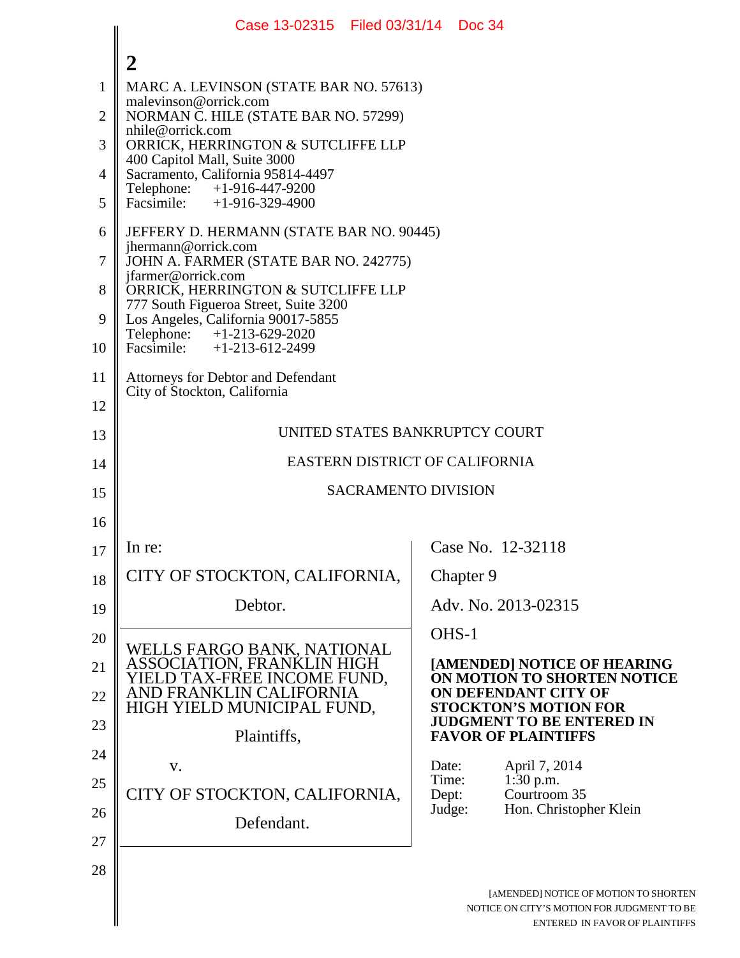|                | Case 13-02315   Filed 03/31/14   Doc 34                                                                            |                |                                                                                                                       |
|----------------|--------------------------------------------------------------------------------------------------------------------|----------------|-----------------------------------------------------------------------------------------------------------------------|
|                | $\boldsymbol{2}$                                                                                                   |                |                                                                                                                       |
| $\mathbf{1}$   | MARC A. LEVINSON (STATE BAR NO. 57613)                                                                             |                |                                                                                                                       |
| $\overline{2}$ | malevinson@orrick.com<br>NORMAN C. HILE (STATE BAR NO. 57299)                                                      |                |                                                                                                                       |
| 3              | nhile@orrick.com<br>ORRICK, HERRINGTON & SUTCLIFFE LLP                                                             |                |                                                                                                                       |
| 4              | 400 Capitol Mall, Suite 3000<br>Sacramento, California 95814-4497                                                  |                |                                                                                                                       |
| 5              | $+1-916-447-9200$<br>Telephone:<br>Facsimile: $+1-916-329-4900$                                                    |                |                                                                                                                       |
| 6              | JEFFERY D. HERMANN (STATE BAR NO. 90445)                                                                           |                |                                                                                                                       |
| $\tau$         | jhermann@orrick.com<br>JOHN A. FARMER (STATE BAR NO. 242775)                                                       |                |                                                                                                                       |
| 8              | jfarmer@orrick.com<br>ORRICK, HERRINGTON & SUTCLIFFE LLP                                                           |                |                                                                                                                       |
| 9              | 777 South Figueroa Street, Suite 3200<br>Los Angeles, California 90017-5855                                        |                |                                                                                                                       |
| 10             | Telephone: +1-213-629-2020<br>Facsimile: $+1-213-612-2499$                                                         |                |                                                                                                                       |
| 11             | Attorneys for Debtor and Defendant                                                                                 |                |                                                                                                                       |
| 12             | City of Stockton, California                                                                                       |                |                                                                                                                       |
| 13             | UNITED STATES BANKRUPTCY COURT                                                                                     |                |                                                                                                                       |
| 14             | <b>EASTERN DISTRICT OF CALIFORNIA</b>                                                                              |                |                                                                                                                       |
| 15             | <b>SACRAMENTO DIVISION</b>                                                                                         |                |                                                                                                                       |
| 16             |                                                                                                                    |                |                                                                                                                       |
| 17             | In re:                                                                                                             |                | Case No. 12-32118                                                                                                     |
| 18             | CITY OF STOCKTON, CALIFORNIA,                                                                                      |                | Chapter 9                                                                                                             |
| 19             | Debtor.                                                                                                            |                | Adv. No. 2013-02315                                                                                                   |
| 20             |                                                                                                                    | OHS-1          |                                                                                                                       |
| 21             | WELLS FARGO BANK, NATIONAL<br>ASSOCIATION, FRANKLIN HIGH<br>YIELD TAX-FREE INCOME FUND,<br>AND FRANKLIN CALIFORNIA |                | [AMENDED] NOTICE OF HEARING<br>ON MOTION TO SHORTEN NOTICE                                                            |
| 22             | HIGH YIELD MUNICIPAL FUND,                                                                                         |                | ON DEFENDANT CITY OF<br><b>STOCKTON'S MOTION FOR</b>                                                                  |
| 23             | Plaintiffs,                                                                                                        |                | <b>JUDGMENT TO BE ENTERED IN</b><br><b>FAVOR OF PLAINTIFFS</b>                                                        |
| 24             | V.                                                                                                                 | Date:          | April 7, 2014                                                                                                         |
| 25             | CITY OF STOCKTON, CALIFORNIA,                                                                                      | Time:<br>Dept: | 1:30 p.m.<br>Courtroom 35                                                                                             |
| 26             | Defendant.                                                                                                         | Judge:         | Hon. Christopher Klein                                                                                                |
| 27             |                                                                                                                    |                |                                                                                                                       |
| 28             |                                                                                                                    |                |                                                                                                                       |
|                |                                                                                                                    |                | [AMENDED] NOTICE OF MOTION TO SHORTEN<br>NOTICE ON CITY'S MOTION FOR JUDGMENT TO BE<br>ENTERED IN FAVOR OF PLAINTIFFS |